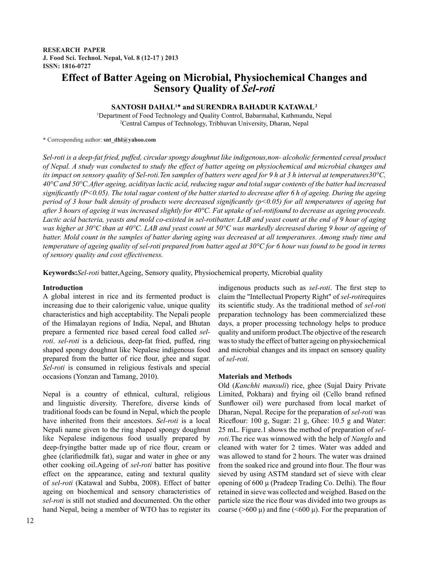# **Effect of Batter Ageing on Microbial, Physiochemical Changes and Sensory Quality of** *Sel-roti*

## **SANTOSH DAHAL1 \* and SURENDRA BAHADUR KATAWAL 2**

1 Department of Food Technology and Quality Control, Babarmahal, Kathmandu, Nepal 2 Central Campus of Technology, Tribhuvan University, Dharan, Nepal

**\*** Corresponding author: **snt\_dhl@yahoo.com**

*Sel-roti is a deep-fat fried, puffed, circular spongy doughnut like indigenous,non- alcoholic fermented cereal product of Nepal. A study was conducted to study the effect of batter ageing on physiochemical and microbial changes and its impact on sensory quality of Sel-roti.Ten samples of batters were aged for 9 h at 3 h interval at temperatures30°C, 40°C and 50°C.After ageing, acidityas lactic acid, reducing sugar and total sugar contents of the batter had increased significantly (P<0.05). The total sugar content of the batter started to decrease after 6 h of ageing. During the ageing period of 3 hour bulk density of products were decreased significantly (p<0.05) for all temperatures of ageing but after 3 hours of ageing it was increased slightly for 40°C. Fat uptake of sel-rotifound to decrease as ageing proceeds. Lactic acid bacteria, yeasts and mold co-existed in sel-rotibatter. LAB and yeast count at the end of 9 hour of aging was higher at 30°C than at 40°C. LAB and yeast count at 50°C was markedly decreased during 9 hour of ageing of batter. Mold count in the samples of batter during aging was decreased at all temperatures. Among study time and temperature of ageing quality of sel-roti prepared from batter aged at 30°C for 6 hour was found to be good in terms of sensory quality and cost effectiveness.*

**Keywords:***Sel-roti* batter,Ageing, Sensory quality, Physiochemical property, Microbial quality

## **Introduction**

A global interest in rice and its fermented product is increasing due to their calorigenic value, unique quality characteristics and high acceptability. The Nepali people of the Himalayan regions of India, Nepal, and Bhutan prepare a fermented rice based cereal food called *selroti*. *sel-roti* is a delicious, deep-fat fried, puffed, ring shaped spongy doughnut like Nepalese indigenous food prepared from the batter of rice flour, ghee and sugar. *Sel-roti* is consumed in religious festivals and special occasions (Yonzan and Tamang, 2010).

Nepal is a country of ethnical, cultural, religious and linguistic diversity. Therefore, diverse kinds of traditional foods can be found in Nepal, which the people have inherited from their ancestors. *Sel-roti* is a local Nepali name given to the ring shaped spongy doughnut like Nepalese indigenous food usually prepared by deep-fryingthe batter made up of rice flour, cream or ghee (clarifiedmilk fat), sugar and water in ghee or any other cooking oil.Ageing of *sel-roti* batter has positive effect on the appearance, eating and textural quality of *sel-roti* (Katawal and Subba, 2008). Effect of batter ageing on biochemical and sensory characteristics of *sel-roti* is still not studied and documented. On the other hand Nepal, being a member of WTO has to register its indigenous products such as *sel-roti*. The first step to claim the "Intellectual Property Right" of *sel-roti*requires its scientific study. As the traditional method of *sel-roti*  preparation technology has been commercialized these days, a proper processing technology helps to produce quality and uniform product.The objective of the research was to study the effect of batter ageing on physiochemical and microbial changes and its impact on sensory quality of *sel-roti*.

## **Materials and Methods**

Old (*Kanchhi mansuli*) rice, ghee (Sujal Dairy Private Limited, Pokhara) and frying oil (Cello brand refined Sunflower oil) were purchased from local market of Dharan, Nepal. Recipe for the preparation of *sel-roti* was Riceflour: 100 g, Sugar: 21 g, Ghee: 10.5 g and Water: 25 mL. Figure.1 shows the method of preparation of *selroti.*The rice was winnowed with the help of *Nanglo* and cleaned with water for 2 times. Water was added and was allowed to stand for 2 hours. The water was drained from the soaked rice and ground into flour. The flour was sieved by using ASTM standard set of sieve with clear opening of 600 μ (Pradeep Trading Co. Delhi). The flour retained in sieve was collected and weighed. Based on the particle size the rice flour was divided into two groups as coarse ( $>600 \mu$ ) and fine ( $<600 \mu$ ). For the preparation of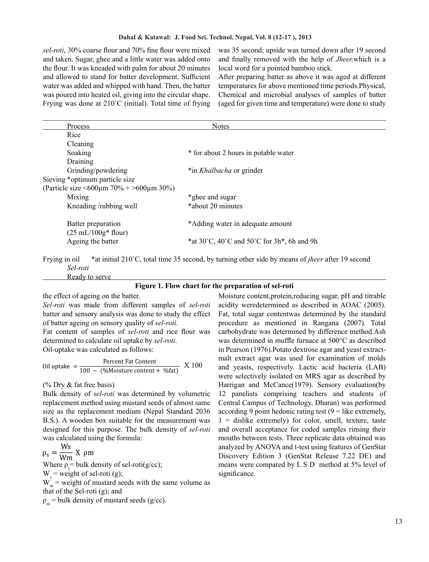*sel-roti*, 30% coarse flour and 70% fine flour were mixed and taken. Sugar, ghee and a little water was added onto the flour. It was kneaded with palm for about 20 minutes and allowed to stand for batter development. Sufficient water was added and whipped with hand. Then, the batter was poured into heated oil, giving into the circular shape. Frying was done at 210˚C (initial). Total time of frying was 35 second; upside was turned down after 19 second and finally removed with the help of *Jheer,*which is a local word for a pointed bamboo stick.

After preparing batter as above it was aged at different temperatures for above mentioned time periods.Physical, Chemical and microbial analyses of samples of batter (aged for given time and temperature) were done to study

| Process                                                  | <b>Notes</b>                                   |
|----------------------------------------------------------|------------------------------------------------|
| Rice                                                     |                                                |
| Cleaning                                                 |                                                |
| Soaking                                                  | * for about 2 hours in potable water           |
| Draining                                                 |                                                |
| Grinding/powdering                                       | *in <i>Khalbacha</i> or grinder                |
| Sieving *optimum particle size                           |                                                |
| (Particle size $\leq 600 \mu m$ 70% + $> 600 \mu m$ 30%) |                                                |
| Mixing                                                   | *ghee and sugar                                |
| Kneading/rubbing well                                    | *about 20 minutes                              |
| Batter preparation<br>$(25 \text{ mL}/100g*$ flour)      | *Adding water in adequate amount               |
| Ageing the batter                                        | *at 30°C, 40°C and 50°C for $3h^*$ , 6h and 9h |

Frying in oil \*at initial 210˚C, total time 35 second, by turning other side by means of *jheer* after 19 second *Sel-roti* Ready to serve

**Figure 1. Flow chart for the preparation of sel-roti**

the effect of ageing on the batter.

*Sel-roti* was made from different samples of *sel-roti*  batter and sensory analysis was done to study the effect of batter ageing on sensory quality of *sel-roti*.

Fat content of samples of *sel-roti* and rice flour was determined to calculate oil uptake by *sel-roti*. Oil-uptake was calculated as follows:

Oil uptake  $=\frac{100 - 66}{\text{Moisture content} + 965}$  X 100

(% Dry & fat free basis)

Bulk density of *sel-roti* was determined by volumetric replacement method using mustard seeds of almost same size as the replacement medium (Nepal Standard 2036 B.S.). A wooden box suitable for the measurement was designed for this purpose. The bulk density of *sel-roti*  was calculated using the formula:

 $\rho_s = \frac{Ws}{Wm}$  X  $\rho m$ 

Where  $\rho_s$  = bulk density of sel-roti(g/cc);  $W<sub>s</sub>$  = weight of sel-roti (g);  $W_m^s$  = weight of mustard seeds with the same volume as that of the Sel-roti (g); and

 $\rho_m$  = bulk density of mustard seeds (g/cc).

Moisture content,protein,reducing sugar, pH and titrable acidity weredetermined as described in AOAC (2005). Fat, total sugar contentwas determined by the standard procedure as mentioned in Rangana (2007). Total carbohydrate was determined by difference method.Ash was determined in muffle furnace at 500°C as described in Pearson (1976).Potato dextrose agar and yeast extractmalt extract agar was used for examination of molds and yeasts, respectively. Lactic acid bacteria (LAB) were selectively isolated on MRS agar as described by Harrigan and McCance(1979). Sensory evaluation(by 12 panelists comprising teachers and students of Central Campus of Technology, Dharan) was performed according 9 point hedonic rating test  $(9 =$  like extremely,  $1 =$  dislike extremely) for color, smell, texture, taste and overall acceptance for coded samples rinsing their mouths between tests. Three replicate data obtained was analyzed by ANOVA and t-test using features of GenStat Discovery Edition 3 (GenStat Release 7.22 DE) and means were compared by L S D method at 5% level of significance.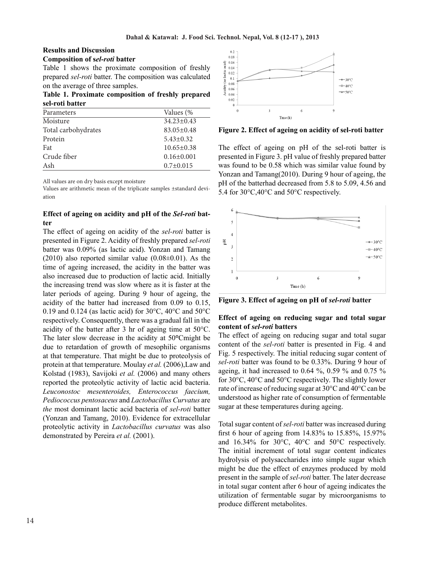#### **Results and Discussion Composition of s***el-roti* **batter**

Table 1 shows the proximate composition of freshly prepared *sel-roti* batter. The composition was calculated on the average of three samples.

**Table 1. Proximate composition of freshly prepared sel-roti batter** 

| Parameters          | Values (%        |
|---------------------|------------------|
| Moisture            | $34.23 \pm 0.43$ |
| Total carbohydrates | $83.05 \pm 0.48$ |
| Protein             | $5.43 \pm 0.32$  |
| Fat                 | $10.65 \pm 0.38$ |
| Crude fiber         | $0.16 \pm 0.001$ |
| Ash                 | $0.7 \pm 0.015$  |

All values are on dry basis except moisture

Values are arithmetic mean of the triplicate samples ±standard deviation

## **Effect of ageing on acidity and pH of the** *Sel-roti* **batter**

The effect of ageing on acidity of the *sel-roti* batter is presented in Figure 2. Acidity of freshly prepared *sel-roti* batter was 0.09% (as lactic acid). Yonzan and Tamang  $(2010)$  also reported similar value  $(0.08\pm0.01)$ . As the time of ageing increased, the acidity in the batter was also increased due to production of lactic acid. Initially the increasing trend was slow where as it is faster at the later periods of ageing. During 9 hour of ageing, the acidity of the batter had increased from 0.09 to 0.15, 0.19 and 0.124 (as lactic acid) for 30°C, 40°C and 50°C respectively. Consequently, there was a gradual fall in the acidity of the batter after 3 hr of ageing time at 50°C. The later slow decrease in the acidity at 50**°**Cmight be due to retardation of growth of mesophilic organisms at that temperature. That might be due to proteolysis of protein at that temperature. Moulay *et al.* (2006),Law and Kolstad (1983), Savijoki *et al.* (2006) and many others reported the proteolytic activity of lactic acid bacteria. *Leuconostoc mesenteroides, Enterococcus faecium, Pediococcus pentosaceus* and *Lactobacillus Curvatus* are *the* most dominant lactic acid bacteria of *sel-roti* batter (Yonzan and Tamang, 2010). Evidence for extracellular proteolytic activity in *Lactobacillus curvatus* was also demonstrated by Pereira *et al.* (2001).



**Figure 2. Effect of ageing on acidity of sel-roti batter** 

The effect of ageing on pH of the sel-roti batter is presented in Figure 3. pH value of freshly prepared batter was found to be 0.58 which was similar value found by Yonzan and Tamang(2010). During 9 hour of ageing, the pH of the batterhad decreased from 5.8 to 5.09, 4.56 and 5.4 for 30°C,40°C and 50°C respectively.



**Figure 3. Effect of ageing on pH of** *sel-roti* **batter**

## **Effect of ageing on reducing sugar and total sugar content of** *sel-roti* **batters**

The effect of ageing on reducing sugar and total sugar content of the *sel-roti* batter is presented in Fig. 4 and Fig. 5 respectively. The initial reducing sugar content of *sel-roti* batter was found to be 0.33%. During 9 hour of ageing, it had increased to 0.64 %, 0.59 % and 0.75 % for 30°C, 40°C and 50°C respectively. The slightly lower rate of increase of reducing sugar at 30°C and 40°C can be understood as higher rate of consumption of fermentable sugar at these temperatures during ageing.

Total sugar content of *sel-roti* batter was increased during first 6 hour of ageing from 14.83% to 15.85%, 15.97% and 16.34% for 30°C, 40°C and 50°C respectively. The initial increment of total sugar content indicates hydrolysis of polysaccharides into simple sugar which might be due the effect of enzymes produced by mold present in the sample of *sel-roti* batter. The later decrease in total sugar content after 6 hour of ageing indicates the utilization of fermentable sugar by microorganisms to produce different metabolites.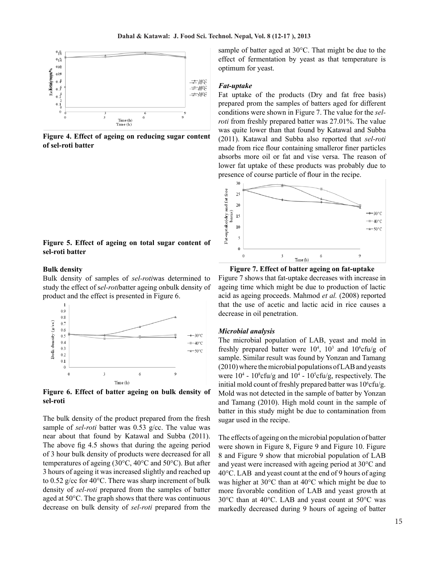

**Figure 4. Effect of ageing on reducing sugar content of sel-roti batter** 

## **Figure 5. Effect of ageing on total sugar content of sel-roti batter**

#### **Bulk density**

Bulk density of samples of *sel-roti*was determined to study the effect of s*el-roti*batter ageing onbulk density of product and the effect is presented in Figure 6.



**Figure 6. Effect of batter ageing on bulk density of sel-roti**

The bulk density of the product prepared from the fresh sample of *sel-roti* batter was 0.53 g/cc. The value was near about that found by Katawal and Subba (2011). The above fig 4.5 shows that during the ageing period of 3 hour bulk density of products were decreased for all temperatures of ageing (30°C, 40°C and 50°C). But after 3 hours of ageing it was increased slightly and reached up to 0.52 g/cc for 40°C. There was sharp increment of bulk density of *sel-roti* prepared from the samples of batter aged at 50°C. The graph shows that there was continuous decrease on bulk density of *sel-roti* prepared from the sample of batter aged at 30°C. That might be due to the effect of fermentation by yeast as that temperature is optimum for yeast.

#### *Fat-uptake*

Fat uptake of the products (Dry and fat free basis) prepared prom the samples of batters aged for different conditions were shown in Figure 7. The value for the *selroti* from freshly prepared batter was 27.01%. The value was quite lower than that found by Katawal and Subba (2011). Katawal and Subba also reported that *sel-roti*  made from rice flour containing smalleror finer particles absorbs more oil or fat and vise versa. The reason of lower fat uptake of these products was probably due to presence of course particle of flour in the recipe.



**Figure 7. Effect of batter ageing on fat-uptake**

Figure 7 shows that fat-uptake decreases with increase in ageing time which might be due to production of lactic acid as ageing proceeds. Mahmod *et al.* (2008) reported that the use of acetic and lactic acid in rice causes a decrease in oil penetration.

#### *Microbial analysis*

The microbial population of LAB, yeast and mold in freshly prepared batter were  $10^4$ ,  $10^3$  and  $10^6$ cfu/g of sample. Similar result was found by Yonzan and Tamang (2010) where the microbial populations of LAB and yeasts were  $10^4$  -  $10^8$ cfu/g and  $10^4$  -  $10^5$ cfu/g, respectively. The initial mold count of freshly prepared batter was  $10^6$ cfu/g. Mold was not detected in the sample of batter by Yonzan and Tamang (2010). High mold count in the sample of batter in this study might be due to contamination from sugar used in the recipe.

The effects of ageing on the microbial population of batter were shown in Figure 8, Figure 9 and Figure 10. Figure 8 and Figure 9 show that microbial population of LAB and yeast were increased with ageing period at 30°C and 40°C. LAB and yeast count at the end of 9 hours of aging was higher at 30°C than at 40°C which might be due to more favorable condition of LAB and yeast growth at 30°C than at 40°C. LAB and yeast count at 50°C was markedly decreased during 9 hours of ageing of batter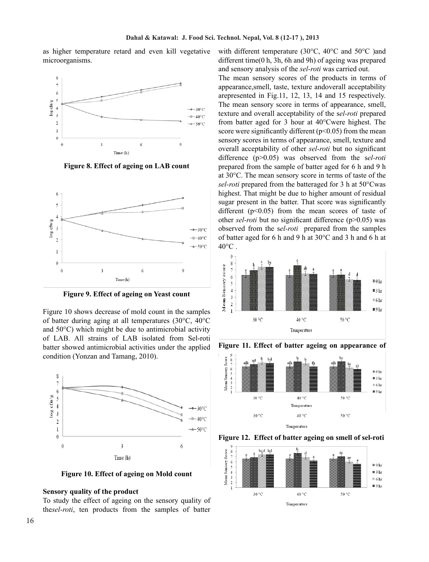as higher temperature retard and even kill vegetative microorganisms.



**Figure 8. Effect of ageing on LAB count**



**Figure 9. Effect of ageing on Yeast count**

Figure 10 shows decrease of mold count in the samples of batter during aging at all temperatures (30°C, 40°C and 50°C) which might be due to antimicrobial activity of LAB. All strains of LAB isolated from Sel-roti batter showed antimicrobial activities under the applied condition (Yonzan and Tamang, 2010).



**Figure 10. Effect of ageing on Mold count**

#### **Sensory quality of the product**

To study the effect of ageing on the sensory quality of the*sel-roti*, ten products from the samples of batter with different temperature (30°C, 40°C and 50°C )and different time(0 h, 3h, 6h and 9h) of ageing was prepared and sensory analysis of the *sel-roti* was carried out.

The mean sensory scores of the products in terms of appearance,smell, taste, texture andoverall acceptability arepresented in Fig.11, 12, 13, 14 and 15 respectively. The mean sensory score in terms of appearance, smell, texture and overall acceptability of the s*el-roti* prepared from batter aged for 3 hour at 40°Cwere highest. The score were significantly different  $(p<0.05)$  from the mean sensory scores in terms of appearance, smell, texture and overall acceptability of other *sel-roti* but no significant difference (p>0.05) was observed from the s*el-roti* prepared from the sample of batter aged for 6 h and 9 h at 30°C. The mean sensory score in terms of taste of the *sel-roti* prepared from the batteraged for 3 h at 50°Cwas highest. That might be due to higher amount of residual sugar present in the batter. That score was significantly different  $(p<0.05)$  from the mean scores of taste of other *sel-roti* but no significant difference (p>0.05) was observed from the s*el-roti* prepared from the samples of batter aged for 6 h and 9 h at 30°C and 3 h and 6 h at  $40^{\circ}$ C.





**Figure 11. Effect of batter ageing on appearance of** 

**Figure 12. Effect of batter ageing on smell of sel-roti**